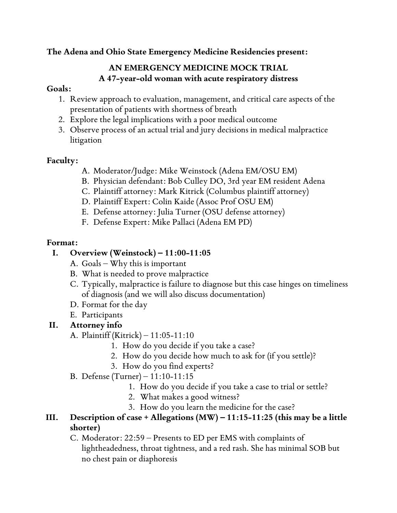**The Adena and Ohio State Emergency Medicine Residencies present:**

### **AN EMERGENCY MEDICINE MOCK TRIAL A 47-year-old woman with acute respiratory distress**

#### **Goals:**

- 1. Review approach to evaluation, management, and critical care aspects of the presentation of patients with shortness of breath
- 2. Explore the legal implications with a poor medical outcome
- 3. Observe process of an actual trial and jury decisions in medical malpractice litigation

### **Faculty:**

- A. Moderator/Judge: Mike Weinstock (Adena EM/OSU EM)
- B. Physician defendant: Bob Culley DO, 3rd year EM resident Adena
- C. Plaintiff attorney: Mark Kitrick (Columbus plaintiff attorney)
- D. Plaintiff Expert: Colin Kaide (Assoc Prof OSU EM)
- E. Defense attorney: Julia Turner (OSU defense attorney)
- F. Defense Expert: Mike Pallaci (Adena EM PD)

#### **Format:**

# **I. Overview (Weinstock) – 11:00-11:05**

- A. Goals Why this is important
- B. What is needed to prove malpractice
- C. Typically, malpractice is failure to diagnose but this case hinges on timeliness of diagnosis (and we will also discuss documentation)
- D. Format for the day
- E. Participants

# **II. Attorney info**

- A. Plaintiff (Kitrick) 11:05-11:10
	- 1. How do you decide if you take a case?
	- 2. How do you decide how much to ask for (if you settle)?
	- 3. How do you find experts?
- B. Defense (Turner) 11:10-11:15
	- 1. How do you decide if you take a case to trial or settle?
	- 2. What makes a good witness?
	- 3. How do you learn the medicine for the case?
- **III. Description of case + Allegations (MW) – 11:15-11:25 (this may be a little shorter)**
	- C. Moderator: 22:59 Presents to ED per EMS with complaints of lightheadedness, throat tightness, and a red rash. She has minimal SOB but no chest pain or diaphoresis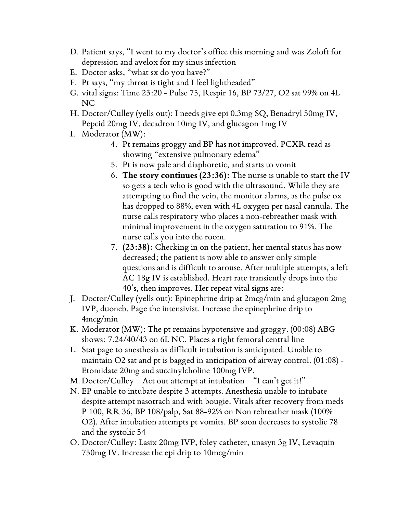- D. Patient says, "I went to my doctor's office this morning and was Zoloft for depression and avelox for my sinus infection
- E. Doctor asks, "what sx do you have?"
- F. Pt says, "my throat is tight and I feel lightheaded"
- G. vital signs: Time 23:20 Pulse 75, Respir 16, BP 73/27, O2 sat 99% on 4L NC
- H. Doctor/Culley (yells out): I needs give epi 0.3mg SQ, Benadryl 50mg IV, Pepcid 20mg IV, decadron 10mg IV, and glucagon 1mg IV
- I. Moderator (MW):
	- 4. Pt remains groggy and BP has not improved. PCXR read as showing "extensive pulmonary edema"
	- 5. Pt is now pale and diaphoretic, and starts to vomit
	- 6. **The story continues (23:36):** The nurse is unable to start the IV so gets a tech who is good with the ultrasound. While they are attempting to find the vein, the monitor alarms, as the pulse ox has dropped to 88%, even with 4L oxygen per nasal cannula. The nurse calls respiratory who places a non-rebreather mask with minimal improvement in the oxygen saturation to 91%. The nurse calls you into the room.
	- 7. **(23:38):** Checking in on the patient, her mental status has now decreased; the patient is now able to answer only simple questions and is difficult to arouse. After multiple attempts, a left AC 18g IV is established. Heart rate transiently drops into the 40's, then improves. Her repeat vital signs are:
- J. Doctor/Culley (yells out): Epinephrine drip at 2mcg/min and glucagon 2mg IVP, duoneb. Page the intensivist. Increase the epinephrine drip to 4mcg/min
- K. Moderator (MW): The pt remains hypotensive and groggy. (00:08) ABG shows: 7.24/40/43 on 6L NC. Places a right femoral central line
- L. Stat page to anesthesia as difficult intubation is anticipated. Unable to maintain O2 sat and pt is bagged in anticipation of airway control. (01:08) - Etomidate 20mg and succinylcholine 100mg IVP.
- M. Doctor/Culley Act out attempt at intubation "I can't get it!"
- N. EP unable to intubate despite 3 attempts. Anesthesia unable to intubate despite attempt nasotrach and with bougie. Vitals after recovery from meds P 100, RR 36, BP 108/palp, Sat 88-92% on Non rebreather mask (100% O2). After intubation attempts pt vomits. BP soon decreases to systolic 78 and the systolic 54
- O. Doctor/Culley: Lasix 20mg IVP, foley catheter, unasyn 3g IV, Levaquin 750mg IV. Increase the epi drip to 10mcg/min